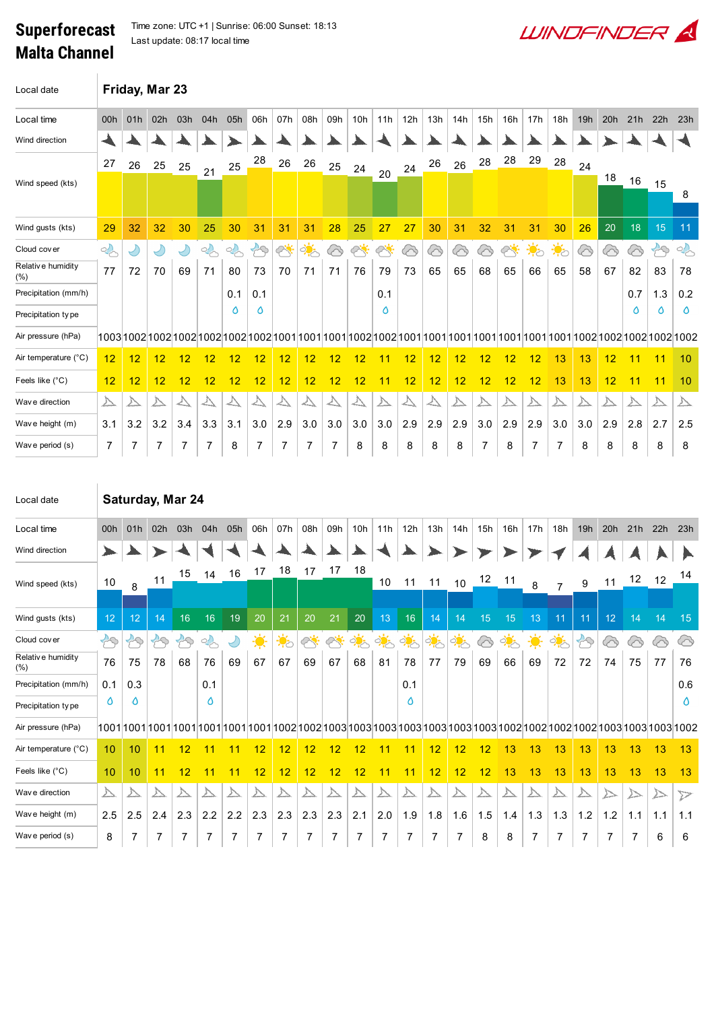## Superforecast Malta Channel

 $\overline{\phantom{a}}$ 

Time zone: UTC +1 | Sunrise: 06:00 Sunset: 18:13 Last update: 08:17 local time

| Local date                   |                  |     | Friday, Mar 23 |          |                                                                                                                              |          |                    |                    |                      |     |                 |                    |     |     |     |     |     |                  |                  |     |            |     |                  |         |
|------------------------------|------------------|-----|----------------|----------|------------------------------------------------------------------------------------------------------------------------------|----------|--------------------|--------------------|----------------------|-----|-----------------|--------------------|-----|-----|-----|-----|-----|------------------|------------------|-----|------------|-----|------------------|---------|
| Local time                   | 00h              | 01h | 02h            | 03h      | 04h                                                                                                                          | 05h      | 06h                | 07h                | 08h                  | 09h | 10 <sub>h</sub> | 11h                | 12h | 13h | 14h | 15h | 16h | 17h              | 18h              | 19h | 20h        | 21h | 22h              | 23h     |
| Wind direction               |                  |     |                |          |                                                                                                                              |          |                    |                    |                      |     |                 |                    |     |     |     |     |     |                  |                  |     |            |     |                  |         |
|                              | 27               | 26  | 25             | 25       | 21                                                                                                                           | 25       | 28                 | 26                 | 26                   | 25  | 24              |                    | 24  | 26  | 26  | 28  | 28  | 29               | 28               | 24  |            |     |                  |         |
| Wind speed (kts)             |                  |     |                |          |                                                                                                                              |          |                    |                    |                      |     |                 | 20                 |     |     |     |     |     |                  |                  |     | 18         | 16  | 15               | 8       |
| Wind gusts (kts)             | 29               | 32  | 32             | 30       | 25                                                                                                                           | 30       | 31                 | 31                 | 31                   | 28  | 25              | 27                 | 27  | 30  | 31  | 32  | 31  | 31               | 30               | 26  | 20         | 18  | 15               | 11      |
| Cloud cover                  | $\sim$           |     | $\bigcirc$     | Ÿ        | $\sim$                                                                                                                       | $\sigma$ | $\curvearrowright$ | $\curvearrowright$ | $\frac{1}{\sqrt{2}}$ | ᢙ   | $\sim$          | $\curvearrowright$ | ᢙ   | ⊗   | ᢙ   | ᢙ   | త   | $\ddot{\bullet}$ | $\ddot{\bullet}$ | 6   | $\bigcirc$ | 6   | $\mathcal{B}$    | 2       |
| Relative humidity<br>$(\% )$ | 77               | 72  | 70             | 69       | 71                                                                                                                           | 80       | 73                 | 70                 | 71                   | 71  | 76              | 79                 | 73  | 65  | 65  | 68  | 65  | 66               | 65               | 58  | 67         | 82  | 83               | 78      |
| Precipitation (mm/h)         |                  |     |                |          |                                                                                                                              | 0.1      | 0.1                |                    |                      |     |                 | 0.1                |     |     |     |     |     |                  |                  |     |            | 0.7 | 1.3              | 0.2     |
| Precipitation type           |                  |     |                |          |                                                                                                                              | Δ        | ٥                  |                    |                      |     |                 | ٥                  |     |     |     |     |     |                  |                  |     |            | ٥   | Ô                | ٥       |
| Air pressure (hPa)           |                  |     |                |          | 1003 1002 1002 1002 1002 1002 1002 1001 1001 1001 1002 1002 1001 1001 1001 1001 1001 1001 1001 1002 1002 1002 1002 1002 1002 |          |                    |                    |                      |     |                 |                    |     |     |     |     |     |                  |                  |     |            |     |                  |         |
| Air temperature (°C)         | 12               | 12  | 12             | 12       | 12                                                                                                                           | 12       | 12                 | 12                 | 12                   | 12  | 12              | 11                 | 12  | 12  | 12  | 12  | 12  | 12               | 13               | 13  | 12         | 11  | 11               | 10      |
| Feels like (°C)              | 12               | 12  | 12             | 12       | 12                                                                                                                           | 12       | 12                 | 12                 | 12                   | 12  | 12              | 11                 | 12  | 12  | 12  | 12  | 12  | 12               | 13               | 13  | 12         | 11  | 11               | 10      |
| Wav e direction              | $\triangleright$ |     | △              | $\Delta$ | △                                                                                                                            | ∠        | ∠∖                 |                    | $\triangle$          |     |                 |                    | △   |     | △   |     | △   |                  |                  | △   |            |     | $\triangleright$ | △       |
| Wave height (m)              | 3.1              | 3.2 | 3.2            | 3.4      | 3.3                                                                                                                          | 3.1      | 3.0                | 2.9                | 3.0                  | 3.0 | 3.0             | 3.0                | 2.9 | 2.9 | 2.9 | 3.0 | 2.9 | 2.9              | 3.0              | 3.0 | 2.9        | 2.8 | 2.7              | $2.5\,$ |
| Wave period (s)              | $\overline{7}$   |     |                |          |                                                                                                                              | 8        |                    |                    |                      |     | 8               | 8                  | 8   | 8   | 8   |     | 8   |                  |                  | 8   | 8          | 8   | 8                | 8       |

**WINDFINDER** 

| Local date               | Saturday, Mar 24        |                 |                    |                         |         |                         |     |                         |                         |           |     |                  |                |      |                         |     |                         |     |                |     |     |     |     |                  |
|--------------------------|-------------------------|-----------------|--------------------|-------------------------|---------|-------------------------|-----|-------------------------|-------------------------|-----------|-----|------------------|----------------|------|-------------------------|-----|-------------------------|-----|----------------|-----|-----|-----|-----|------------------|
| Local time               | 00h                     | 01h             | 02h                | 03h                     | 04h     | 05h                     | 06h | 07h                     | 08h                     | 09h       | 10h | 11h              | 12h            | 13h  | 14h                     | 15h | 16h                     | 17h | 18h            | 19h | 20h | 21h | 22h | 23h              |
| Wind direction           |                         |                 |                    |                         |         |                         |     |                         |                         |           |     |                  |                |      |                         |     |                         |     |                |     |     |     |     |                  |
| Wind speed (kts)         | 10                      | 8               | 11                 | 15                      | 14      | 16                      | 17  | 18                      | 17                      | 17        | 18  | 10               | 11             | 11   | 10                      | 12  | 11                      | 8   | $\overline{7}$ | 9   | 11  | 12  | 12  | 14               |
|                          |                         |                 |                    |                         |         |                         |     |                         |                         |           |     |                  |                |      |                         |     |                         |     |                |     |     |     |     |                  |
| Wind gusts (kts)         | 12                      | 12 <sup>2</sup> | 14                 | 16                      | 16      | 19                      | 20  | 21                      | 20                      | 21        | 20  | 13               | 16             | 14   | 14                      | 15  | 15                      | 13  | 11             | 11  | 12  | 14  | 14  | 15               |
| Cloud cover              | 79                      | $\approx$       | $\curvearrowright$ | $\sim$                  | $\circ$ |                         | ☀   | ॱ∳ं                     | $\oslash$               | $\varphi$ | ्रं | ्रं              |                | ्रिं | ्रं                     | ⊗   | ्रं                     | 美   | <u>ं ं</u>     | 79  | △   | ′⊘  | 6   | ⊙                |
| Relative humidity<br>(%) | 76                      | 75              | 78                 | 68                      | 76      | 69                      | 67  | 67                      | 69                      | 67        | 68  | 81               | 78             | 77   | 79                      | 69  | 66                      | 69  | 72             | 72  | 74  | 75  | 77  | 76               |
| Precipitation (mm/h)     | 0.1                     | 0.3             |                    |                         | 0.1     |                         |     |                         |                         |           |     |                  | 0.1            |      |                         |     |                         |     |                |     |     |     |     | 0.6              |
| Precipitation type       | ٥                       | ٥               |                    |                         | Δ       |                         |     |                         |                         |           |     |                  | ٥              |      |                         |     |                         |     |                |     |     |     |     | Δ                |
| Air pressure (hPa)       |                         |                 |                    |                         |         |                         |     |                         |                         |           |     |                  |                |      |                         |     |                         |     |                |     |     |     |     |                  |
| Air temperature (°C)     | 10                      | 10              | 11                 | 12                      | 11      | 11                      | 12  | 12                      | 12                      | 12        | 12  | 11               | 11             | 12   | 12                      | 12  | 13                      | 13  | 13             | 13  | 13  | 13  | 13  | 13               |
| Feels like (°C)          | 10                      | 10              | 11                 | 12                      | 11      | 11                      | 12  | 12                      | 12                      | 12        | 12  | 11               | 11             | 12   | 12                      | 12  | 13                      | 13  | 13             | 13  | 13  | 13  | 13  | 13               |
| Wave direction           | $\overline{\mathbb{A}}$ |                 | △                  | $\overline{\mathbb{A}}$ |         | $\overline{\mathbb{A}}$ |     | $\overline{\mathbb{A}}$ | $\overline{\mathbb{A}}$ | △         |     | $\triangleright$ | △              | △    | $\overline{\mathbb{A}}$ |     | $\overline{\mathbb{A}}$ |     |                |     |     |     |     | $\triangleright$ |
| Wave height (m)          | 2.5                     | 2.5             | 2.4                | 2.3                     | 2.2     | 2.2                     | 2.3 | 2.3                     | 2.3                     | 2.3       | 2.1 | 2.0              | 1.9            | 1.8  | 1.6                     | 1.5 | 1.4                     | 1.3 | 1.3            | 1.2 | 1.2 | 1.1 | 1.1 | 1.1              |
| Wave period (s)          | 8                       | $\overline{7}$  | 7                  | 7                       | 7       | 7                       | 7   | $\overline{7}$          | 7                       | 7         | 7   | 7                | $\overline{7}$ | 7    | 7                       | 8   | 8                       | 7   | 7              | 7   | 7   | 7   | 6   | 6                |